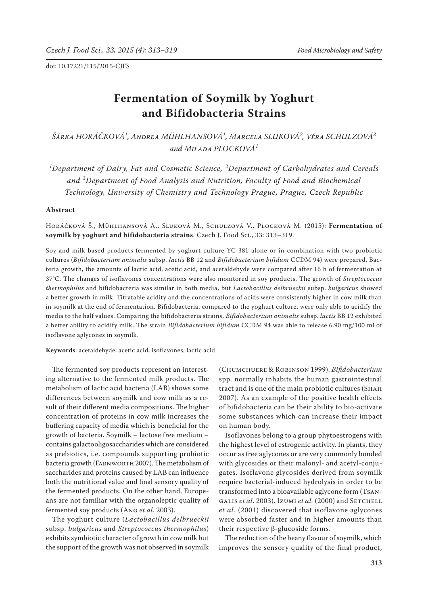# **Fermentation of Soymilk by Yoghurt and Bifidobacteria Strains**

*Šárka HORÁČKOVÁ<sup>1</sup> , Andrea MÜHLHANSOVÁ<sup>1</sup> , Marcela SLUKOVÁ<sup>2</sup> , Věra SCHULZOVÁ<sup>3</sup> and Milada PLOCKOVÁ<sup>1</sup>*

*1 Department of Dairy, Fat and Cosmetic Science, <sup>2</sup> Department of Carbohydrates and Cereals and <sup>3</sup> Department of Food Analysis and Nutrition, Faculty of Food and Biochemical Technology, University of Chemistry and Technology Prague, Prague, Czech Republic*

## **Abstract**

Horáčková Š., Mühlhansová A., Sluková M., Schulzová V., Plocková M. (2015): **Fermentation of soymilk by yoghurt and bifidobacteria strains**. Czech J. Food Sci., 33: 313–319.

Soy and milk based products fermented by yoghurt culture YC-381 alone or in combination with two probiotic cultures (*Bifidobacterium animalis* subsp. *lactis* BB 12 and *Bifidobacterium bifidum* CCDM 94) were prepared. Bacteria growth, the amounts of lactic acid, acetic acid, and acetaldehyde were compared after 16 h of fermentation at 37°C. The changes of isoflavones concentrations were also monitored in soy products. The growth of *Streptococcus thermophilus* and bifidobacteria was similar in both media, but *Lactobacillus delbrueckii* subsp. *bulgaricus* showed a better growth in milk. Titratable acidity and the concentrations of acids were consistently higher in cow milk than in soymilk at the end of fermentation. Bifidobacteria, compared to the yoghurt culture, were only able to acidify the media to the half values. Comparing the bifidobacteria strains, *Bifidobacterium animalis* subsp. *lactis* BB 12 exhibited a better ability to acidify milk. The strain *Bifidobacterium bifidum* CCDM 94 was able to release 6.90 mg/100 ml of isoflavone aglycones in soymilk.

**Keywords**: acetaldehyde; acetic acid; isoflavones; lactic acid

The fermented soy products represent an interesting alternative to the fermented milk products. The metabolism of lactic acid bacteria (LAB) shows some differences between soymilk and cow milk as a result of their different media compositions. The higher concentration of proteins in cow milk increases the buffering capacity of media which is beneficial for the growth of bacteria. Soymilk – lactose free medium – contains galactooligosaccharides which are considered as prebiotics, i.e. compounds supporting probiotic bacteria growth (FARNWORTH 2007). The metabolism of saccharides and proteins caused by LAB can influence both the nutritional value and final sensory quality of the fermented products. On the other hand, Europeans are not familiar with the organoleptic quality of fermented soy products (Ang *et al.* 2003).

The yoghurt culture (*Lactobacillus delbrueckii* subsp. *bulgaricus* and *Streptococcus thermophilus*) exhibits symbiotic character of growth in cow milk but the support of the growth was not observed in soymilk

(Chumchuere & Robinson 1999). *Bifidobacterium* spp. normally inhabits the human gastrointestinal tract and is one of the main probiotic cultures (SHAH 2007). As an example of the positive health effects of bifidobacteria can be their ability to bio-activate some substances which can increase their impact on human body.

Isoflavones belong to a group phytoestrogens with the highest level of estrogenic activity. In plants, they occur as free aglycones or are very commonly bonded with glycosides or their malonyl- and acetyl-conjugates. Isoflavone glycosides derived from soymilk require bacterial-induced hydrolysis in order to be transformed into a bioavailable aglycone form (Tsan-GALIS *et al.* 2003). Izumi *et al.* (2000) and SETCHELL *et al.* (2001) discovered that isoflavone aglycones were absorbed faster and in higher amounts than their respective β-glucoside forms.

The reduction of the beany flavour of soymilk, which improves the sensory quality of the final product,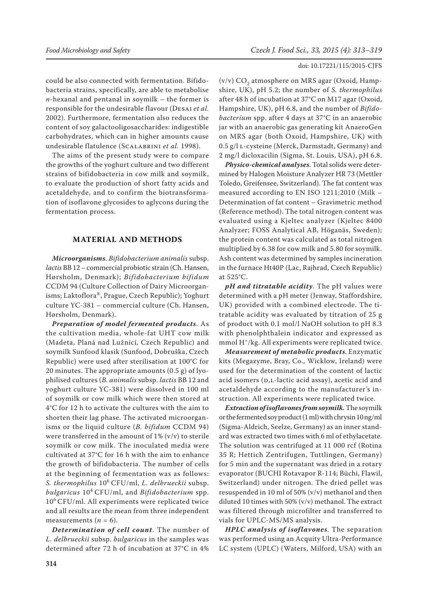# could be also connected with fermentation. Bifidobacteria strains, specifically, are able to metabolise *n*-hexanal and pentanal in soymilk – the former is responsible for the undesirable flavour (Desai *et al.* 2002). Furthermore, fermentation also reduces the content of soy galactooligosaccharides: indigestible carbohydrates, which can in higher amounts cause undesirable flatulence (Scalabrini *et al.* 1998).

The aims of the present study were to compare the growths of the yoghurt culture and two different strains of bifidobacteria in cow milk and soymilk, to evaluate the production of short fatty acids and acetaldehyde, and to confirm the biotransformation of isoflavone glycosides to aglycons during the fermentation process.

# **MATERIAL AND METHODS**

*Microorganisms*. *Bifidobacterium animalis* subsp. *lactis* BB 12 – commercial probiotic strain (Ch. Hansen, Hørsholm, Denmark); *Bifidobacterium bifidum* CCDM 94 (Culture Collection of Dairy Microorganisms; Laktoflora®, Prague, Czech Republic); Yoghurt culture YC-381 – commercial culture (Ch. Hansen, Hørsholm, Denmark).

*Preparation of model fermented products*. As the cultivation media, whole-fat UHT cow milk (Madeta, Planá nad Lužnicí, Czech Republic) and soymilk Sunfood klasik (Sunfood, Dobruška, Czech Republic) were used after sterilisation at 100°C for 20 minutes. The appropriate amounts (0.5 g) of lyophilised cultures (*B. animalis* subsp. *lactis* BB 12 and yoghurt culture YC-381) were dissolved in 100 ml of soymilk or cow milk which were then stored at 4°C for 12 h to activate the cultures with the aim to shorten their lag phase. The activated microorganisms or the liquid culture (*B. bifidum* CCDM 94) were transferred in the amount of  $1\%$  (v/v) to sterile soymilk or cow milk. The inoculated media were cultivated at 37°C for 16 h with the aim to enhance the growth of bifidobacteria. The number of cells at the beginning of fermentation was as follows: *S. thermophilus* 106 CFU/ml, *L. delbrueckii* subsp. *bulgaricus* 104 CFU/ml, and *Bifidobacterium* spp. 106 CFU/ml. All experiments were replicated twice and all results are the mean from three independent measurements  $(n = 6)$ .

*Determination of cell count*. The number of *L. delbrueckii* subsp. *bulgaricus* in the samples was determined after 72 h of incubation at 37°C in 4%

#### doi: 10.17221/115/2015-CJFS

(v/v)  $\mathrm{CO}_2^{}$  atmosphere on MRS agar (Oxoid, Hampshire, UK), pH 5.2; the number of *S. thermophilus* after 48 h of incubation at 37°C on M17 agar (Oxoid, Hampshire, UK), pH 6.8, and the number of *Bifidobacterium* spp. after 4 days at 37°C in an anaerobic jar with an anaerobic gas generating kit AnaeroGen on MRS agar (both Oxoid, Hampshire, UK) with 0.5 g/l l-cysteine (Merck, Darmstadt, Germany) and 2 mg/l dicloxacilin (Sigma, St. Louis, USA), pH 6.8.

*Physico-chemical analyses*. Total solids were determined by Halogen Moisture Analyzer HR 73 (Mettler Toledo, Greifensee, Switzerland). The fat content was measured according to EN ISO 1211:2010 (Milk – Determination of fat content – Gravimetric method (Reference method). The total nitrogen content was evaluated using a Kjeltec analyzer (Kjeltec 8400 Analyzer; FOSS Analytical AB, Höganäs, Sweden); the protein content was calculated as total nitrogen multiplied by 6.38 for cow milk and 5.80 for soymilk. Ash content was determined by samples incineration in the furnace Ht40P (Lac, Rajhrad, Czech Republic) at 525°C.

*pH and titratable acidity*. The pH values were determined with a pH meter (Jenway, Staffordshire, UK) provided with a combined electrode. The titratable acidity was evaluated by titration of 25 g of product with 0.1 mol/l NaOH solution to pH 8.3 with phenolphthalein indicator and expressed as mmol H+/kg. All experiments were replicated twice.

*Measurement of metabolic products*. Enzymatic kits (Megazyme, Bray, Co., Wicklow, Ireland) were used for the determination of the content of lactic acid isomers (D,L-lactic acid assay), acetic acid and acetaldehyde according to the manufacturer's instruction. All experiments were replicated twice.

*Extraction of isoflavones from soymilk.* The soymilk or the fermented soy product (1 ml) with chrysin 10 ng/ml (Sigma-Aldrich, Seelze, Germany) as an inner standard was extracted two times with 6 ml of ethylacetate. The solution was centrifuged at 11 000 rcf (Rotina 35 R; Hettich Zentrifugen, Tuttlingen, Germany) for 5 min and the supernatant was dried in a rotary evaporator (BUCHI Rotavapor R-114; Büchi, Flawil, Switzerland) under nitrogen. The dried pellet was resuspended in 10 ml of 50% (v/v) methanol and then diluted 10 times with 50% (v/v) methanol. The extract was filtered through microfilter and transferred to vials for UPLC-MS/MS analysis.

*HPLC analysis of isoflavones*. The separation was performed using an Acquity Ultra-Performance LC system (UPLC) (Waters, Milford, USA) with an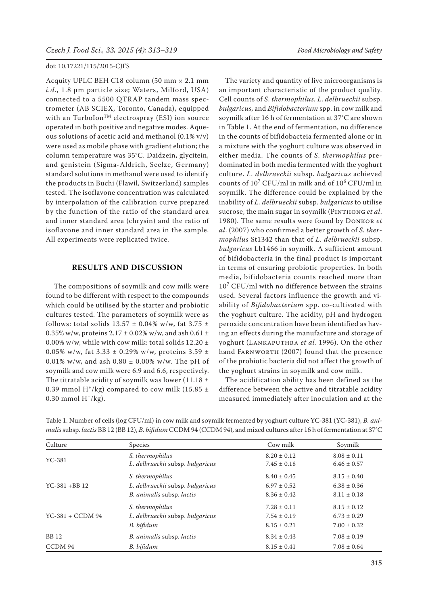Acquity UPLC BEH C18 column (50 mm × 2.1 mm *i.d*., 1.8 µm particle size; Waters, Milford, USA) connected to a 5500 QTRAP tandem mass spectrometer (AB SCIEX, Toronto, Canada), equipped with an TurboIon<sup>TM</sup> electrospray (ESI) ion source operated in both positive and negative modes. Aqueous solutions of acetic acid and methanol (0.1% v/v) were used as mobile phase with gradient elution; the column temperature was 35°C. Daidzein, glycitein, and genistein (Sigma-Aldrich, Seelze, Germany) standard solutions in methanol were used to identify the products in Buchi (Flawil, Switzerland) samples tested. The isoflavone concentration was calculated by interpolation of the calibration curve prepared by the function of the ratio of the standard area and inner standard area (chrysin) and the ratio of isoflavone and inner standard area in the sample. All experiments were replicated twice.

## **RESULTS AND DISCUSSION**

 The compositions of soymilk and cow milk were found to be different with respect to the compounds which could be utilised by the starter and probiotic cultures tested. The parameters of soymilk were as follows: total solids  $13.57 \pm 0.04\%$  w/w, fat  $3.75 \pm$ 0.35% w/w, proteins  $2.17 \pm 0.02$ % w/w, and ash  $0.61 \pm 0.03$ 0.00% w/w, while with cow milk: total solids  $12.20 \pm$ 0.05% w/w, fat 3.33  $\pm$  0.29% w/w, proteins 3.59  $\pm$ 0.01% w/w, and ash  $0.80 \pm 0.00\%$  w/w. The pH of soymilk and cow milk were 6.9 and 6.6, respectively. The titratable acidity of soymilk was lower (11.18  $\pm$ 0.39 mmol H<sup>+</sup>/kg) compared to cow milk (15.85  $\pm$ 0.30 mmol  $H^+/kg$ .

The variety and quantity of live microorganisms is an important characteristic of the product quality. Cell counts of *S*. *thermophilus*, *L*. *delbrueckii* subsp. *bulgaricus*, and *Bifidobacterium* spp. in cow milk and soymilk after 16 h of fermentation at 37°C are shown in Table 1. At the end of fermentation, no difference in the counts of bifidobacteia fermented alone or in a mixture with the yoghurt culture was observed in either media. The counts of *S*. *thermophilus* predominated in both media fermented with the yoghurt culture. *L*. *delbrueckii* subsp. *bulgaricus* achieved counts of  $10^7$  CFU/ml in milk and of  $10^6$  CFU/ml in soymilk. The difference could be explained by the inability of *L. delbrueckii* subsp. *bulgaricus* to utilise sucrose, the main sugar in soymilk (PINTHONG *et al.*) 1980). The same results were found by Donkor *et al*. (2007) who confirmed a better growth of *S. thermophilus* St1342 than that of *L. delbrueckii* subsp. *bulgaricus* Lb1466 in soymilk. A sufficient amount of bifidobacteria in the final product is important in terms of ensuring probiotic properties. In both media, bifidobacteria counts reached more than  $10<sup>7</sup>$  CFU/ml with no difference between the strains used. Several factors influence the growth and viability of *Bifidobacterium* spp. co-cultivated with the yoghurt culture. The acidity, pH and hydrogen peroxide concentration have been identified as having an effects during the manufacture and storage of yoghurt (LANKAPUTHRA et al. 1996). On the other hand FARNWORTH (2007) found that the presence of the probiotic bacteria did not affect the growth of the yoghurt strains in soymilk and cow milk.

The acidification ability has been defined as the difference between the active and titratable acidity measured immediately after inoculation and at the

| Culture          | Species                          | Cow milk        | Soymilk         |
|------------------|----------------------------------|-----------------|-----------------|
| $YC-381$         | S. thermophilus                  | $8.20 \pm 0.12$ | $8.08 \pm 0.11$ |
|                  | L. delbrueckii subsp. bulgaricus | $7.45 \pm 0.18$ | $6.46 \pm 0.57$ |
| $YC-381 + BB12$  | S. thermophilus                  | $8.40 \pm 0.45$ | $8.15 \pm 0.40$ |
|                  | L. delbrueckii subsp. bulgaricus | $6.97 \pm 0.52$ | $6.38 \pm 0.36$ |
|                  | B. animalis subsp. lactis        | $8.36 \pm 0.42$ | $8.11 \pm 0.18$ |
| YC-381 + CCDM 94 | S. thermophilus                  | $7.28 \pm 0.11$ | $8.15 \pm 0.12$ |
|                  | L. delbrueckii subsp. bulgaricus | $7.54 \pm 0.19$ | $6.73 \pm 0.29$ |
|                  | B. bifidum                       | $8.15 \pm 0.21$ | $7.00 \pm 0.32$ |
| <b>BB</b> 12     | B. animalis subsp. lactis        | $8.34 \pm 0.43$ | $7.08 \pm 0.19$ |
| CCDM 94          | B. bifidum                       | $8.15 \pm 0.41$ | $7.08 \pm 0.64$ |

Table 1. Number of cells (log CFU/ml) in cow milk and soymilk fermented by yoghurt culture YC-381 (YC-381), *B. animalis* subsp. *lactis* BB 12 (BB 12), *B. bifidum* CCDM 94 (CCDM 94), and mixed cultures after 16 h of fermentation at 37°C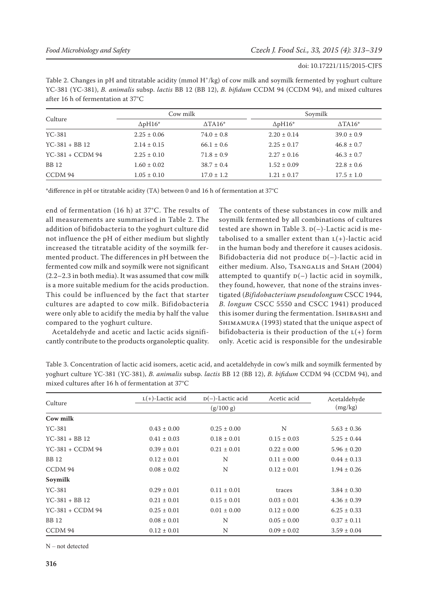Table 2. Changes in pH and titratable acidity (mmol  $H^+/kg$ ) of cow milk and soymilk fermented by yoghurt culture YC-381 (YC-381), *B. animalis* subsp. *lactis* BB 12 (BB 12), *B. bifidum* CCDM 94 (CCDM 94), and mixed cultures after 16 h of fermentation at 37°C

| Culture           | Cow milk        |                | Soymilk         |                |
|-------------------|-----------------|----------------|-----------------|----------------|
|                   | $\Delta$ pH16*  | $\Delta$ TA16* | $\Delta$ pH16*  | $\Delta$ TA16* |
| $YC-381$          | $2.25 \pm 0.06$ | $74.0 \pm 0.8$ | $2.20 \pm 0.14$ | $39.0 \pm 0.9$ |
| $YC-381 + BB12$   | $2.14 \pm 0.15$ | $66.1 \pm 0.6$ | $2.25 \pm 0.17$ | $46.8 \pm 0.7$ |
| $YC-381 + CCDM94$ | $2.25 \pm 0.10$ | $71.8 \pm 0.9$ | $2.27 \pm 0.16$ | $46.3 \pm 0.7$ |
| <b>BB</b> 12      | $1.60 \pm 0.02$ | $38.7 \pm 0.4$ | $1.52 \pm 0.09$ | $22.8 \pm 0.6$ |
| CCDM 94           | $1.05 \pm 0.10$ | $17.0 \pm 1.2$ | $1.21 \pm 0.17$ | $17.5 \pm 1.0$ |

\*difference in pH or titratable acidity (TA) between 0 and 16 h of fermentation at 37°C

end of fermentation (16 h) at 37°C. The results of all measurements are summarised in Table 2. The addition of bifidobacteria to the yoghurt culture did not influence the pH of either medium but slightly increased the titratable acidity of the soymilk fermented product. The differences in pH between the fermented cow milk and soymilk were not significant (2.2–2.3 in both media). It was assumed that cow milk is a more suitable medium for the acids production. This could be influenced by the fact that starter cultures are adapted to cow milk. Bifidobacteria were only able to acidify the media by half the value compared to the yoghurt culture.

Acetaldehyde and acetic and lactic acids significantly contribute to the products organoleptic quality. The contents of these substances in cow milk and soymilk fermented by all combinations of cultures tested are shown in Table 3.  $p(-)$ -Lactic acid is metabolised to a smaller extent than  $L(+)$ -lactic acid in the human body and therefore it causes acidosis. Bifidobacteria did not produce  $D(-)$ -lactic acid in either medium. Also, Tsangalis and Shah (2004) attempted to quantify  $p(-)$  lactic acid in soymilk, they found, however, that none of the strains investigated (*Bifidobacterium pseudolongum* CSCC 1944, *B. longum* CSCC 5550 and CSCC 1941) produced this isomer during the fermentation. Ishibashi and SHIMAMURA (1993) stated that the unique aspect of bifidobacteria is their production of the  $L(+)$  form only. Acetic acid is responsible for the undesirable

Table 3. Concentration of lactic acid isomers, acetic acid, and acetaldehyde in cow's milk and soymilk fermented by yoghurt culture YC-381 (YC-381), *B. animalis* subsp. *lactis* BB 12 (BB 12), *B. bifidum* CCDM 94 (CCDM 94), and mixed cultures after 16 h of fermentation at 37°C

|                  | $L(+)$ -Lactic acid | $D(-)$ -Lactic acid | Acetic acid     | Acetaldehyde    |
|------------------|---------------------|---------------------|-----------------|-----------------|
| Culture          | (g/100 g)           |                     |                 | (mg/kg)         |
| Cow milk         |                     |                     |                 |                 |
| $YC-381$         | $0.43 \pm 0.00$     | $0.25 \pm 0.00$     | N               | $5.63 \pm 0.36$ |
| $YC-381 + BB12$  | $0.41 \pm 0.03$     | $0.18 \pm 0.01$     | $0.15 \pm 0.03$ | $5.25 \pm 0.44$ |
| YC-381 + CCDM 94 | $0.39 \pm 0.01$     | $0.21 \pm 0.01$     | $0.22 \pm 0.00$ | $5.96 \pm 0.20$ |
| <b>BB</b> 12     | $0.12 \pm 0.01$     | N                   | $0.11 \pm 0.00$ | $0.44 \pm 0.13$ |
| CCDM 94          | $0.08 \pm 0.02$     | N                   | $0.12 \pm 0.01$ | $1.94 \pm 0.26$ |
| Soymilk          |                     |                     |                 |                 |
| $YC-381$         | $0.29 \pm 0.01$     | $0.11 \pm 0.01$     | traces          | $3.84 \pm 0.30$ |
| $YC-381 + BB12$  | $0.21 \pm 0.01$     | $0.15 \pm 0.01$     | $0.03 \pm 0.01$ | $4.36 \pm 0.39$ |
| YC-381 + CCDM 94 | $0.25 \pm 0.01$     | $0.01 \pm 0.00$     | $0.12 \pm 0.00$ | $6.25 \pm 0.33$ |
| <b>BB</b> 12     | $0.08 \pm 0.01$     | N                   | $0.05 \pm 0.00$ | $0.37 \pm 0.11$ |
| CCDM 94          | $0.12 \pm 0.01$     | N                   | $0.09 \pm 0.02$ | $3.59 \pm 0.04$ |

N – not detected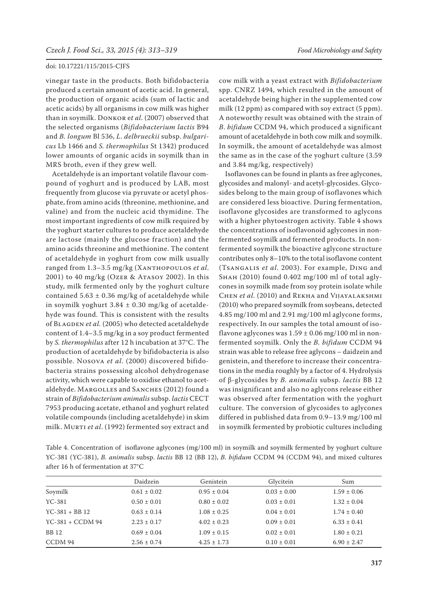vinegar taste in the products. Both bifidobacteria produced a certain amount of acetic acid. In general, the production of organic acids (sum of lactic and acetic acids) by all organisms in cow milk was higher than in soymilk. Donkor e*t al*. (2007) observed that the selected organisms (*Bifidobacterium lactis* B94 and *B. longum* Bl 536, *L*. *delbrueckii* subsp. *bulgaricus* Lb 1466 and *S. thermophilus* St 1342) produced lower amounts of organic acids in soymilk than in MRS broth, even if they grew well.

Acetaldehyde is an important volatile flavour compound of yoghurt and is produced by LAB, most frequently from glucose via pyruvate or acetyl phosphate, from amino acids (threonine, methionine, and valine) and from the nucleic acid thymidine. The most important ingredients of cow milk required by the yoghurt starter cultures to produce acetaldehyde are lactose (mainly the glucose fraction) and the amino acids threonine and methionine. The content of acetaldehyde in yoghurt from cow milk usually ranged from 1.3–3.5 mg/kg (Xanthopoulos *et al*. 2001) to 40 mg/kg (Ozer & Atasoy 2002). In this study, milk fermented only by the yoghurt culture contained  $5.63 \pm 0.36$  mg/kg of acetaldehyde while in soymilk yoghurt  $3.84 \pm 0.30$  mg/kg of acetaldehyde was found. This is consistent with the results of BLAGDEN et al. (2005) who detected acetaldehyde content of 1.4–3.5 mg/kg in a soy product fermented by *S. thermophilus* after 12 h incubation at 37°C. The production of acetaldehyde by bifidobacteria is also possible. Nosova *et al*. (2000) discovered bifidobacteria strains possessing alcohol dehydrogenase activity, which were capable to oxidise ethanol to acetaldehyde. MARGOLLES and SANCHES (2012) found a strain of *Bifidobacterium animalis* subsp. *lactis* CECT 7953 producing acetate, ethanol and yoghurt related volatile compounds (including acetaldehyde) in skim milk. Murti *et al*. (1992) fermented soy extract and

cow milk with a yeast extract with *Bifidobacterium* spp. CNRZ 1494, which resulted in the amount of acetaldehyde being higher in the supplemented cow milk (12 ppm) as compared with soy extract (5 ppm). A noteworthy result was obtained with the strain of *B*. *bifidum* CCDM 94, which produced a significant amount of acetaldehyde in both cow milk and soymilk. In soymilk, the amount of acetaldehyde was almost the same as in the case of the yoghurt culture (3.59 and 3.84 mg/kg, respectively)

Isoflavones can be found in plants as free aglycones, glycosides and malonyl- and acetyl-glycosides. Glycosides belong to the main group of isoflavones which are considered less bioactive. During fermentation, isoflavone glycosides are transformed to aglycons with a higher phytoestrogen activity. Table 4 shows the concentrations of isoflavonoid aglycones in nonfermented soymilk and fermented products. In nonfermented soymilk the bioactive aglycone structure contributes only 8–10% to the total isoflavone content (Tsangalis *et al*. 2003). For example, Ding and Shah (2010) found 0.402 mg/100 ml of total aglycones in soymilk made from soy protein isolate while Chen *et al.* (2010) and Rekha and Vijayalakshmi (2010) who prepared soymilk from soybeans, detected 4.85 mg/100 ml and 2.91 mg/100 ml aglycone forms, respectively. In our samples the total amount of isoflavone aglycones was  $1.59 \pm 0.06$  mg/100 ml in nonfermented soymilk. Only the *B. bifidum* CCDM 94 strain was able to release free aglycons – daidzein and genistein, and therefore to increase their concentrations in the media roughly by a factor of 4. Hydrolysis of β-glycosides by *B. animalis* subsp. *lactis* BB 12 was insignificant and also no aglycons release either was observed after fermentation with the yoghurt culture. The conversion of glycosides to aglycones differed in published data from 0.9–13.9 mg/100 ml in soymilk fermented by probiotic cultures including

Table 4. Concentration of isoflavone aglycones (mg/100 ml) in soymilk and soymilk fermented by yoghurt culture YC-381 (YC-381), *B. animalis* subsp. *lactis* BB 12 (BB 12), *B. bifidum* CCDM 94 (CCDM 94), and mixed cultures after 16 h of fermentation at 37°C

|                   | Daidzein        | Genistein       | Glycitein       | Sum             |
|-------------------|-----------------|-----------------|-----------------|-----------------|
| Soymilk           | $0.61 \pm 0.02$ | $0.95 \pm 0.04$ | $0.03 \pm 0.00$ | $1.59 \pm 0.06$ |
| $YC-381$          | $0.50 \pm 0.01$ | $0.80 \pm 0.02$ | $0.03 \pm 0.01$ | $1.32 \pm 0.04$ |
| $YC-381 + BB12$   | $0.63 \pm 0.14$ | $1.08 \pm 0.25$ | $0.04 \pm 0.01$ | $1.74 \pm 0.40$ |
| $YC-381 + CCDM94$ | $2.23 \pm 0.17$ | $4.02 \pm 0.23$ | $0.09 \pm 0.01$ | $6.33 \pm 0.41$ |
| <b>BB</b> 12      | $0.69 \pm 0.04$ | $1.09 \pm 0.15$ | $0.02 \pm 0.01$ | $1.80 \pm 0.21$ |
| CCDM 94           | $2.56 \pm 0.74$ | $4.25 \pm 1.73$ | $0.10 \pm 0.01$ | $6.90 \pm 2.47$ |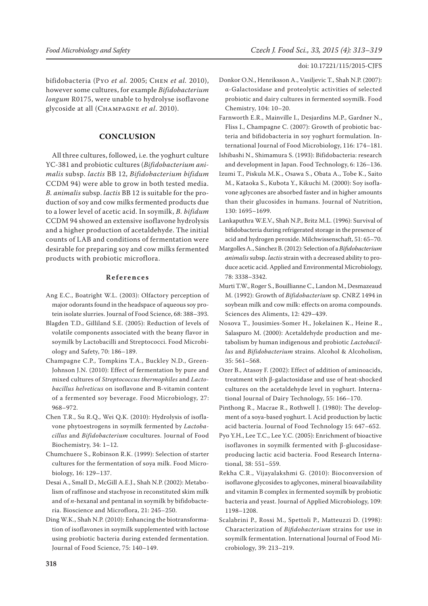# bifidobacteria (Pyo *et al.* 2005; Chen *et al.* 2010), however some cultures, for example *Bifidobacterium longum* R0175, were unable to hydrolyse isoflavone glycoside at all (Champagne *et al*. 2010).

# **CONCLUSION**

All three cultures, followed, i.e. the yoghurt culture YC-381 and probiotic cultures (*Bifidobacterium animalis* subsp. *lactis* BB 12, *Bifidobacterium bifidum* CCDM 94) were able to grow in both tested media. *B. animalis* subsp. *lactis* BB 12 is suitable for the production of soy and cow milks fermented products due to a lower level of acetic acid. In soymilk, *B. bifidum* CCDM 94 showed an extensive isoflavone hydrolysis and a higher production of acetaldehyde. The initial counts of LAB and conditions of fermentation were desirable for preparing soy and cow milks fermented products with probiotic microflora.

### **References**

- Ang E.C., Boatright W.L. (2003): Olfactory perception of major odorants found in the headspace of aqueous soy protein isolate slurries. Journal of Food Science, 68: 388–393.
- Blagden T.D., Gilliland S.E. (2005): Reduction of levels of volatile components associated with the beany flavor in soymilk by Lactobacilli and Streptococci. Food Microbiology and Safety, 70: 186–189.
- Champagne C.P., Tompkins T.A., Buckley N.D., Green-Johnson J.N. (2010): Effect of fermentation by pure and mixed cultures of *Streptococcus thermophiles* and *Lactobacillus helveticus* on isoflavone and B-vitamin content of a fermented soy beverage. Food Microbiology, 27: 968–972.
- Chen T.R., Su R.Q., Wei Q.K. (2010): Hydrolysis of isoflavone phytoestrogens in soymilk fermented by *Lactobacillus* and *Bifidobacterium* cocultures. Journal of Food Biochemistry, 34: 1–12.
- Chumchuere S., Robinson R.K. (1999): Selection of starter cultures for the fermentation of soya milk. Food Microbiology, 16: 129–137.
- Desai A., Small D., McGill A.E.J., Shah N.P. (2002): Metabolism of raffinose and stachyose in reconstituted skim milk and of *n*-hexanal and pentanal in soymilk by bifidobacteria. Bioscience and Microflora, 21: 245–250.
- Ding W.K., Shah N.P. (2010): Enhancing the biotransformation of isoflavones in soymilk supplemented with lactose using probiotic bacteria during extended fermentation. Journal of Food Science, 75: 140–149.

#### doi: 10.17221/115/2015-CJFS

- Donkor O.N., Henriksson A., Vasiljevic T., Shah N.P. (2007): α-Galactosidase and proteolytic activities of selected probiotic and dairy cultures in fermented soymilk. Food Chemistry, 104: 10–20.
- Farnworth E.R., Mainville I., Desjardins M.P., Gardner N., Fliss I., Champagne C. (2007): Growth of probiotic bacteria and bifidobacteria in soy yoghurt formulation. International Journal of Food Microbiology, 116: 174–181.
- Ishibashi N., Shimamura S. (1993): Bifidobacteria: research and development in Japan. Food Technology, 6: 126–136.
- Izumi T., Piskula M.K., Osawa S., Obata A., Tobe K., Saito M., Kataoka S., Kubota Y., Kikuchi M. (2000): Soy isoflavone aglycones are absorbed faster and in higher amounts than their glucosides in humans. Journal of Nutrition, 130: 1695–1699.
- Lankaputhra W.E.V., Shah N.P., Britz M.L. (1996): Survival of bifidobacteria during refrigerated storage in the presence of acid and hydrogen peroxide. Milchwissenschaft, 51: 65–70.
- Margolles A., Sánchez B. (2012): Selection of a *Bifidobacterium animalis* subsp. *lactis* strain with a decreased ability to produce acetic acid. Applied and Environmental Microbiology, 78: 3338–3342.
- Murti T.W., Roger S., Bouillianne C., Landon M., Desmazeaud M. (1992): Growth of *Bifidobacterium* sp. CNRZ 1494 in soybean milk and cow milk: effects on aroma compounds. Sciences des Aliments, 12: 429–439.
- Nosova T., Jousimies-Somer H., Jokelainen K., Heine R., Salaspuro M. (2000): Acetaldehyde production and metabolism by human indigenous and probiotic *Lactobacillus* and *Bifidobacterium* strains. Alcohol & Alcoholism, 35: 561–568.
- Ozer B., Atasoy F. (2002): Effect of addition of aminoacids, treatment with β-galactosidase and use of heat-shocked cultures on the acetaldehyde level in yoghurt. International Journal of Dairy Technology, 55: 166–170.
- Pinthong R., Macrae R., Rothwell J. (1980): The development of a soya-based yoghurt. I. Acid production by lactic acid bacteria. Journal of Food Technology 15: 647–652.
- Pyo Y.H., Lee T.C., Lee Y.C. (2005): Enrichment of bioactive isoflavones in soymilk fermented with β-glucosidaseproducing lactic acid bacteria. Food Research International, 38: 551–559.
- Rekha C.R., Vijayalakshmi G. (2010): Bioconversion of isoflavone glycosides to aglycones, mineral bioavailability and vitamin B complex in fermented soymilk by probiotic bacteria and yeast. Journal of Applied Microbiology, 109: 1198–1208.
- Scalabrini P., Rossi M., Spettoli P., Matteuzzi D. (1998): Characterization of *Bifidobacterium* strains for use in soymilk fermentation. International Journal of Food Microbiology, 39: 213–219.